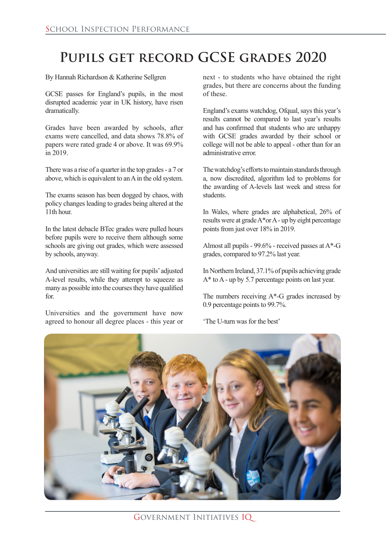## **Pupils get record GCSE grades 2020**

By Hannah Richardson & Katherine Sellgren

GCSE passes for England's pupils, in the most disrupted academic year in UK history, have risen dramatically.

Grades have been awarded by schools, after exams were cancelled, and data shows 78.8% of papers were rated grade 4 or above. It was 69.9% in 2019.

There was a rise of a quarter in the top grades - a 7 or above, which is equivalent to an A in the old system.

The exams season has been dogged by chaos, with policy changes leading to grades being altered at the 11th hour.

In the latest debacle BTec grades were pulled hours before pupils were to receive them although some schools are giving out grades, which were assessed by schools, anyway.

And universities are still waiting for pupils' adjusted A-level results, while they attempt to squeeze as many as possible into the courses they have qualified for.

Universities and the government have now agreed to honour all degree places - this year or

next - to students who have obtained the right grades, but there are concerns about the funding of these.

England's exams watchdog, Ofqual, says this year's results cannot be compared to last year's results and has confirmed that students who are unhappy with GCSE grades awarded by their school or college will not be able to appeal - other than for an administrative error.

The watchdog's efforts to maintain standards through a, now discredited, algorithm led to problems for the awarding of A-levels last week and stress for students.

In Wales, where grades are alphabetical, 26% of results were at grade A\*or A - up by eight percentage points from just over 18% in 2019.

Almost all pupils -  $99.6\%$  - received passes at A\*-G grades, compared to 97.2% last year.

In Northern Ireland, 37.1% of pupils achieving grade A\* to A - up by 5.7 percentage points on last year.

The numbers receiving  $A^*$ -G grades increased by 0.9 percentage points to 99.7%.

'The U-turn was for the best'

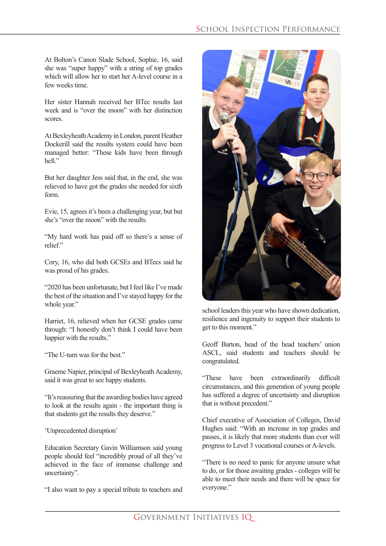At Bolton's Canon Slade School, Sophie, 16, said she was "super happy" with a string of top grades which will allow her to start her A-level course in a few weeks time.

Her sister Hannah received her BTec results last week and is "over the moon" with her distinction scores.

At Bexleyheath Academy in London, parent Heather Dockerill said the results system could have been managed better: "These kids have been through hell"

But her daughter Jess said that, in the end, she was relieved to have got the grades she needed for sixth form.

Evie, 15, agrees it's been a challenging year, but but she's "over the moon" with the results.

"My hard work has paid off so there's a sense of relief"

Cory, 16, who did both GCSEs and BTecs said he was proud of his grades.

"2020 has been unfortunate, but I feel like I've made the best of the situation and I've stayed happy for the whole year."

Harriet, 16, relieved when her GCSE grades came through: "I honestly don't think I could have been happier with the results."

"The U-turn was for the best."

Graeme Napier, principal of Bexleyheath Academy, said it was great to see happy students.

"It's reassuring that the awarding bodies have agreed to look at the results again - the important thing is that students get the results they deserve."

'Unprecedented disruption'

Education Secretary Gavin Williamson said young people should feel "incredibly proud of all they've achieved in the face of immense challenge and uncertainty".

"I also want to pay a special tribute to teachers and



school leaders this year who have shown dedication, resilience and ingenuity to support their students to get to this moment."

Geoff Barton, head of the head teachers' union ASCL, said students and teachers should be congratulated.

"These have been extraordinarily difficult circumstances, and this generation of young people has suffered a degree of uncertainty and disruption that is without precedent."

Chief executive of Association of Colleges, David Hughes said: "With an increase in top grades and passes, it is likely that more students than ever will progress to Level 3 vocational courses or A-levels.

"There is no need to panic for anyone unsure what to do, or for those awaiting grades - colleges will be able to meet their needs and there will be space for everyone."